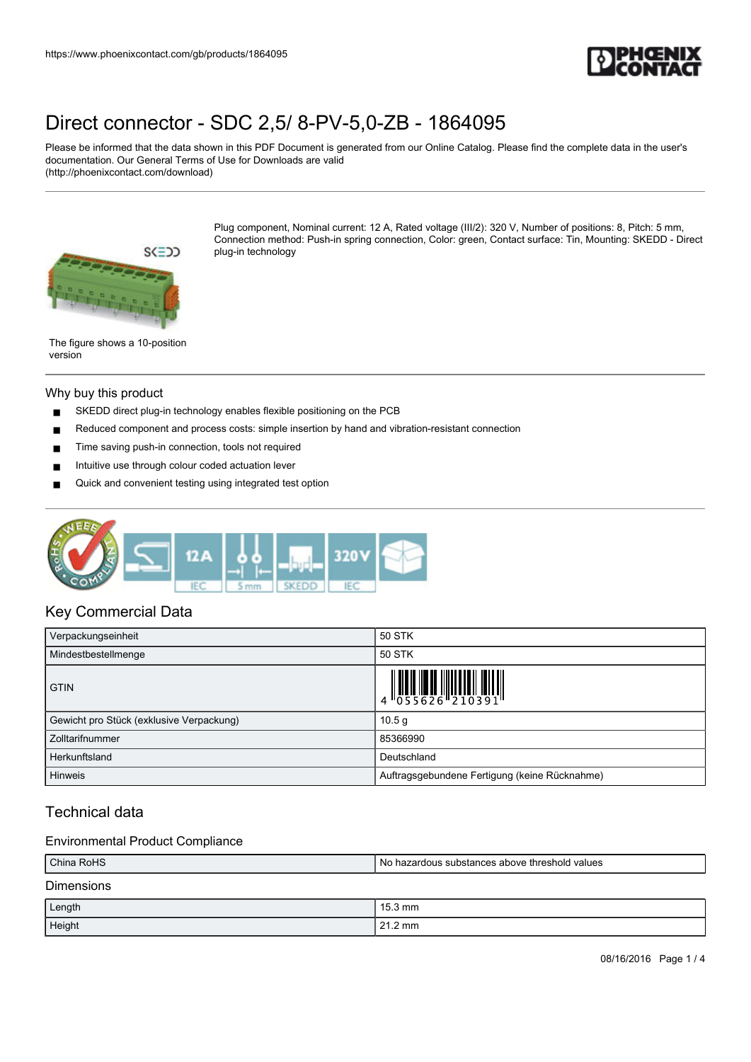

Please be informed that the data shown in this PDF Document is generated from our Online Catalog. Please find the complete data in the user's documentation. Our General Terms of Use for Downloads are valid (http://phoenixcontact.com/download)



Plug component, Nominal current: 12 A, Rated voltage (III/2): 320 V, Number of positions: 8, Pitch: 5 mm, Connection method: Push-in spring connection, Color: green, Contact surface: Tin, Mounting: SKEDD - Direct plug-in technology

The figure shows a 10-position version

#### Why buy this product

- SKEDD direct plug-in technology enables flexible positioning on the PCB
- Reduced component and process costs: simple insertion by hand and vibration-resistant connection
- Time saving push-in connection, tools not required
- Intuitive use through colour coded actuation lever
- Quick and convenient testing using integrated test option



## Key Commercial Data

| Verpackungseinheit                       | 50 STK                                        |
|------------------------------------------|-----------------------------------------------|
| Mindestbestellmenge                      | <b>50 STK</b>                                 |
| <b>GTIN</b>                              |                                               |
| Gewicht pro Stück (exklusive Verpackung) | 10.5 <sub>q</sub>                             |
| Zolltarifnummer                          | 85366990                                      |
| Herkunftsland                            | Deutschland                                   |
| <b>Hinweis</b>                           | Auftragsgebundene Fertigung (keine Rücknahme) |

## Technical data

### Environmental Product Compliance

| China RoHS        | No hazardous substances above threshold values |  |
|-------------------|------------------------------------------------|--|
| <b>Dimensions</b> |                                                |  |
| Length            | $15.3 \text{ mm}$                              |  |
| Height            | $21.2 \text{ mm}$                              |  |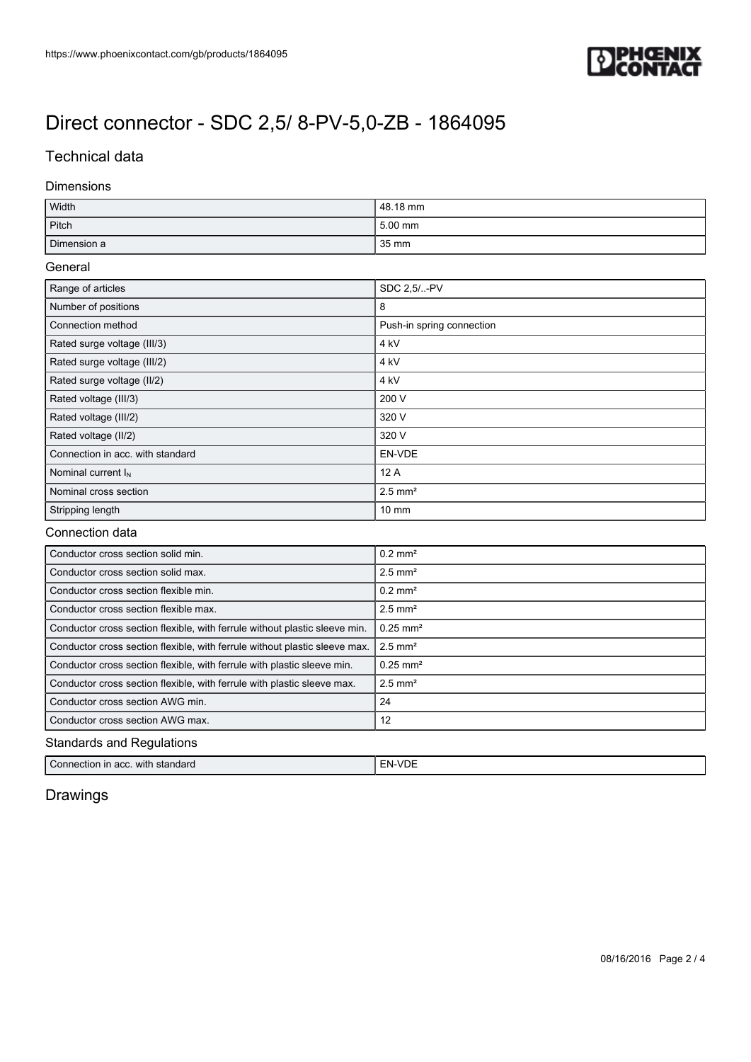

## Technical data

### Dimensions

| Width       | 48.18 mm |
|-------------|----------|
| Pitch       | 5.00 mm  |
| Dimension a | 35 mm    |

#### General

| Range of articles                | SDC 2.5/-PV               |
|----------------------------------|---------------------------|
| Number of positions              | 8                         |
| Connection method                | Push-in spring connection |
| Rated surge voltage (III/3)      | 4 kV                      |
| Rated surge voltage (III/2)      | 4 kV                      |
| Rated surge voltage (II/2)       | 4 kV                      |
| Rated voltage (III/3)            | 200 V                     |
| Rated voltage (III/2)            | 320 V                     |
| Rated voltage (II/2)             | 320 V                     |
| Connection in acc. with standard | EN-VDE                    |
| Nominal current $I_N$            | 12A                       |
| Nominal cross section            | $2.5$ mm <sup>2</sup>     |
| Stripping length                 | $10 \text{ mm}$           |

### Connection data

| Conductor cross section solid min.                                         | $0.2$ mm <sup>2</sup>  |  |
|----------------------------------------------------------------------------|------------------------|--|
| Conductor cross section solid max.                                         | $2.5$ mm <sup>2</sup>  |  |
| Conductor cross section flexible min.                                      | $0.2$ mm <sup>2</sup>  |  |
| Conductor cross section flexible max.                                      | $2.5$ mm <sup>2</sup>  |  |
| Conductor cross section flexible, with ferrule without plastic sleeve min. | $0.25$ mm <sup>2</sup> |  |
| Conductor cross section flexible, with ferrule without plastic sleeve max. | $2.5$ mm <sup>2</sup>  |  |
| Conductor cross section flexible, with ferrule with plastic sleeve min.    | $0.25$ mm <sup>2</sup> |  |
| Conductor cross section flexible, with ferrule with plastic sleeve max.    | $2.5$ mm <sup>2</sup>  |  |
| Conductor cross section AWG min.                                           | 24                     |  |
| Conductor cross section AWG max.                                           | 12                     |  |
| <b>Standards and Regulations</b>                                           |                        |  |

| Connection in | . ⊢N-.       |
|---------------|--------------|
| standard      | $\mathbf{v}$ |
| with          | ◡            |
| acc.          |              |

# Drawings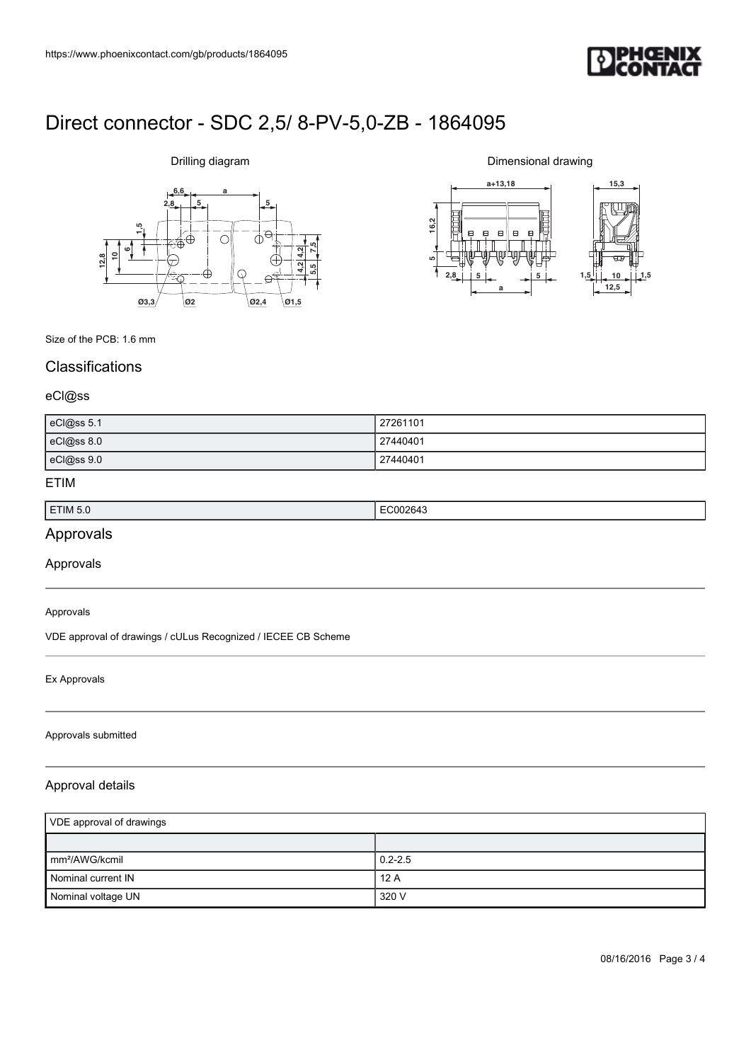

# **6,6 a**  $2,8$   $5$ **612,810 1,5 7,5 5,5 4,2 4,2 Ø3,3 Ø2 Ø2,4 Ø1,5**

Drilling diagram

Dimensional drawing



## Size of the PCB: 1.6 mm

# **Classifications**

#### eCl@ss

| eCl@ss 5.1 | 27261101 |
|------------|----------|
| eCl@ss 8.0 | 27440401 |
| eCl@ss 9.0 | 27440401 |

### ETIM

| ETIM 5.0 | .<br>. |
|----------|--------|
|          |        |

# Approvals

Approvals

#### Approvals

VDE approval of drawings / cULus Recognized / IECEE CB Scheme

#### Ex Approvals

#### Approvals submitted

### Approval details

| VDE approval of drawings    |             |
|-----------------------------|-------------|
|                             |             |
| $\mathsf{Imm}^2$ /AWG/kcmil | $0.2 - 2.5$ |
| Nominal current IN          | 12A         |
| Nominal voltage UN          | 320 V       |